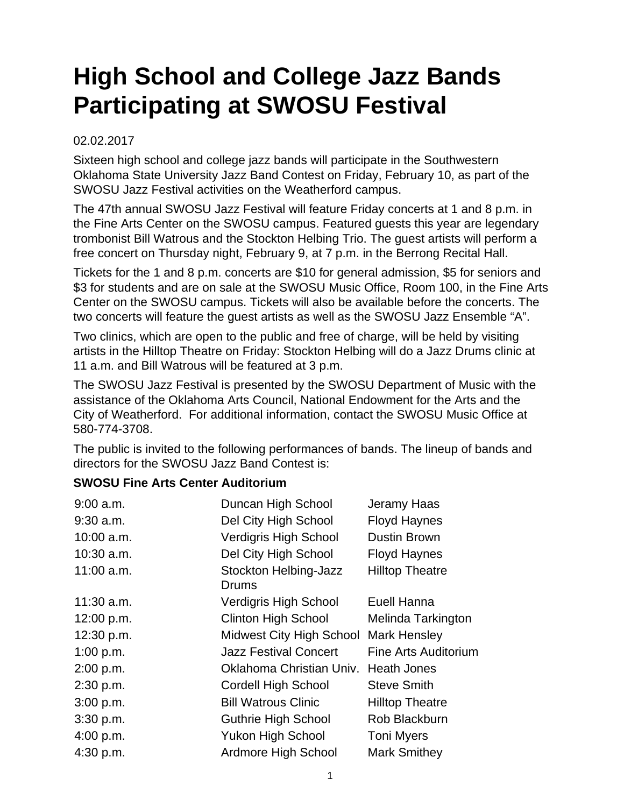## **High School and College Jazz Bands Participating at SWOSU Festival**

## 02.02.2017

Sixteen high school and college jazz bands will participate in the Southwestern Oklahoma State University Jazz Band Contest on Friday, February 10, as part of the SWOSU Jazz Festival activities on the Weatherford campus.

The 47th annual SWOSU Jazz Festival will feature Friday concerts at 1 and 8 p.m. in the Fine Arts Center on the SWOSU campus. Featured guests this year are legendary trombonist Bill Watrous and the Stockton Helbing Trio. The guest artists will perform a free concert on Thursday night, February 9, at 7 p.m. in the Berrong Recital Hall.

Tickets for the 1 and 8 p.m. concerts are \$10 for general admission, \$5 for seniors and \$3 for students and are on sale at the SWOSU Music Office, Room 100, in the Fine Arts Center on the SWOSU campus. Tickets will also be available before the concerts. The two concerts will feature the guest artists as well as the SWOSU Jazz Ensemble "A".

Two clinics, which are open to the public and free of charge, will be held by visiting artists in the Hilltop Theatre on Friday: Stockton Helbing will do a Jazz Drums clinic at 11 a.m. and Bill Watrous will be featured at 3 p.m.

The SWOSU Jazz Festival is presented by the SWOSU Department of Music with the assistance of the Oklahoma Arts Council, National Endowment for the Arts and the City of Weatherford. For additional information, contact the SWOSU Music Office at 580-774-3708.

The public is invited to the following performances of bands. The lineup of bands and directors for the SWOSU Jazz Band Contest is:

## **SWOSU Fine Arts Center Auditorium**

| Duncan High School              | Jeramy Haas            |
|---------------------------------|------------------------|
| Del City High School            | <b>Floyd Haynes</b>    |
| <b>Verdigris High School</b>    | Dustin Brown           |
| Del City High School            | <b>Floyd Haynes</b>    |
| Stockton Helbing-Jazz<br>Drums  | <b>Hilltop Theatre</b> |
| Verdigris High School           | Euell Hanna            |
| <b>Clinton High School</b>      | Melinda Tarkington     |
| <b>Midwest City High School</b> | <b>Mark Hensley</b>    |
| <b>Jazz Festival Concert</b>    | Fine Arts Auditorium   |
| Oklahoma Christian Univ.        | Heath Jones            |
| <b>Cordell High School</b>      | <b>Steve Smith</b>     |
| <b>Bill Watrous Clinic</b>      | <b>Hilltop Theatre</b> |
| <b>Guthrie High School</b>      | Rob Blackburn          |
| <b>Yukon High School</b>        | <b>Toni Myers</b>      |
| Ardmore High School             | <b>Mark Smithey</b>    |
|                                 |                        |